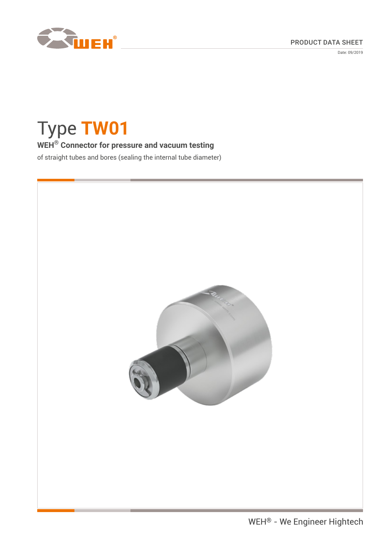



Date: 09/2019

# Type **TW01**

# **WEH® Connector for pressure and vacuum testing**

of straight tubes and bores (sealing the internal tube diameter)

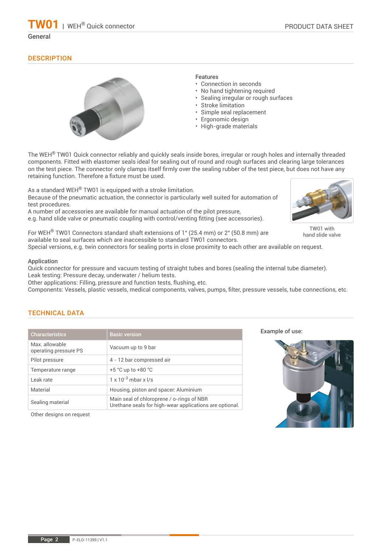**01** | WEH® Quick connector

# **DESCRIPTION**



## Features

- Connection in seconds
- No hand tightening required
- Sealing irregular or rough surfaces
- Stroke limitation
- Simple seal replacement
- Ergonomic design
- High-grade materials

The WEH<sup>®</sup> TW01 Quick connector reliably and quickly seals inside bores, irregular or rough holes and internally threaded components. Fitted with elastomer seals ideal for sealing out of round and rough surfaces and clearing large tolerances on the test piece. The connector only clamps itself firmly over the sealing rubber of the test piece, but does not have any retaining function. Therefore a fixture must be used.

As a standard WEH® TW01 is equipped with a stroke limitation. Because of the pneumatic actuation, the connector is particularly well suited for automation of test procedures.

A number of accessories are available for manual actuation of the pilot pressure, e.g. hand slide valve or pneumatic coupling with control/venting fitting (see accessories).



Special versions, e.g. twin connectors for sealing ports in close proximity to each other are available on request.

#### Application

Quick connector for pressure and vacuum testing of straight tubes and bores (sealing the internal tube diameter). Leak testing: Pressure decay, underwater / helium tests.

Other applications: Filling, pressure and function tests, flushing, etc.

Components: Vessels, plastic vessels, medical components, valves, pumps, filter, pressure vessels, tube connections, etc.

# TECHNICAL DATA

| <b>Characteristics</b>                  | <b>Basic version</b>                                                                                 |
|-----------------------------------------|------------------------------------------------------------------------------------------------------|
| Max. allowable<br>operating pressure PS | Vacuum up to 9 bar                                                                                   |
| Pilot pressure                          | 4 - 12 bar compressed air                                                                            |
| Temperature range                       | $+5$ °C up to $+80$ °C                                                                               |
| Leak rate                               | $1 \times 10^{-3}$ mbar x $1/s$                                                                      |
| Material                                | Housing, piston and spacer: Aluminium                                                                |
| Sealing material                        | Main seal of chloroprene / o-rings of NBR<br>Urethane seals for high-wear applications are optional. |
|                                         |                                                                                                      |

Other designs on request

Example of use:



TW01 with hand slide valve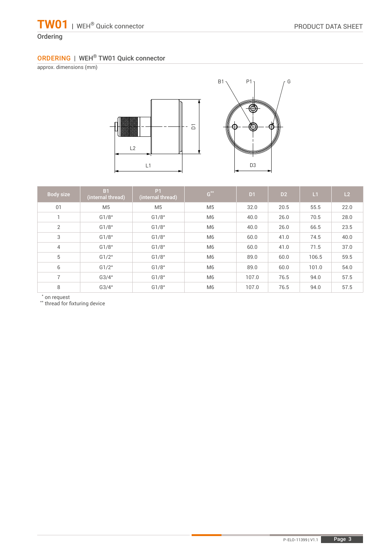# **Ordering**

# ORDERING | WEH® TW01 Quick connector

approx. dimensions (mm)





| Body size      | <b>B1</b><br>(internal thread) | P <sub>1</sub><br>(internal thread) | $\texttt{G}^{\star\star}$ | D1    | D <sub>2</sub> | L1    | L2   |
|----------------|--------------------------------|-------------------------------------|---------------------------|-------|----------------|-------|------|
| 01             | M <sub>5</sub>                 | M <sub>5</sub>                      | M <sub>5</sub>            | 32.0  | 20.5           | 55.5  | 22.0 |
|                | G1/8"                          | G1/8"                               | M <sub>6</sub>            | 40.0  | 26.0           | 70.5  | 28.0 |
| 2              | G1/8"                          | G1/8"                               | M <sub>6</sub>            | 40.0  | 26.0           | 66.5  | 23.5 |
| 3              | G1/8"                          | G1/8"                               | M <sub>6</sub>            | 60.0  | 41.0           | 74.5  | 40.0 |
| 4              | G1/8"                          | G1/8"                               | M <sub>6</sub>            | 60.0  | 41.0           | 71.5  | 37.0 |
| 5              | G1/2"                          | G1/8"                               | M <sub>6</sub>            | 89.0  | 60.0           | 106.5 | 59.5 |
| 6              | G1/2"                          | G1/8"                               | M <sub>6</sub>            | 89.0  | 60.0           | 101.0 | 54.0 |
| $\overline{7}$ | G3/4"                          | G1/8"                               | M <sub>6</sub>            | 107.0 | 76.5           | 94.0  | 57.5 |
| 8              | G3/4"                          | G1/8"                               | M <sub>6</sub>            | 107.0 | 76.5           | 94.0  | 57.5 |

\* on request \*\* thread for fixturing device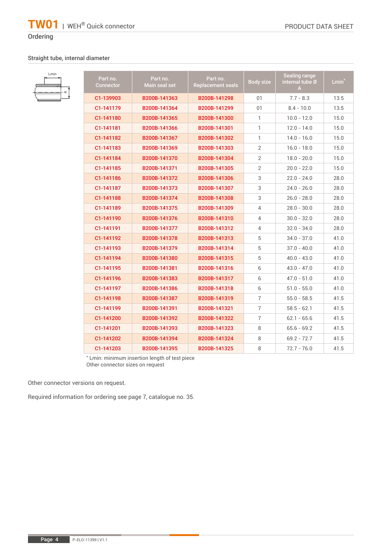# Ordering

Lmin

# Straight tube, internal diameter

| $\prec$ | Part no.<br><b>Connector</b> | Part no.<br>Main seal set | Part no.<br><b>Replacement seals</b> | <b>Body size</b> | Sealing range<br>internal tube Ø<br>A | Lmin <sup>®</sup> |
|---------|------------------------------|---------------------------|--------------------------------------|------------------|---------------------------------------|-------------------|
|         | C1-139903                    | B200B-141363              | B200B-141298                         | 01               | $7.7 - 8.3$                           | 13.5              |
|         | C1-141179                    | B200B-141364              | B200B-141299                         | 01               | $8.4 - 10.0$                          | 13.5              |
|         | C1-141180                    | B200B-141365              | B200B-141300                         | $\mathbf{1}$     | $10.0 - 12.0$                         | 15.0              |
|         | C1-141181                    | B200B-141366              | B200B-141301                         | 1.               | $12.0 - 14.0$                         | 15.0              |
|         | C1-141182                    | B200B-141367              | B200B-141302                         | 1.               | $14.0 - 16.0$                         | 15.0              |
|         | C1-141183                    | B200B-141369              | B200B-141303                         | $\overline{2}$   | $16.0 - 18.0$                         | 15.0              |
|         | C1-141184                    | B200B-141370              | B200B-141304                         | $\overline{2}$   | $18.0 - 20.0$                         | 15.0              |
|         | C1-141185                    | B200B-141371              | B200B-141305                         | $\overline{2}$   | $20.0 - 22.0$                         | 15.0              |
|         | C1-141186                    | B200B-141372              | B200B-141306                         | 3                | $22.0 - 24.0$                         | 28.0              |
|         | C1-141187                    | B200B-141373              | B200B-141307                         | 3                | $24.0 - 26.0$                         | 28.0              |
|         | C1-141188                    | B200B-141374              | B200B-141308                         | 3                | $26.0 - 28.0$                         | 28.0              |
|         | C1-141189                    | B200B-141375              | B200B-141309                         | 4                | $28.0 - 30.0$                         | 28.0              |
|         | C1-141190                    | B200B-141376              | B200B-141310                         | 4                | $30.0 - 32.0$                         | 28.0              |
|         | C1-141191                    | B200B-141377              | B200B-141312                         | $\overline{4}$   | $32.0 - 34.0$                         | 28.0              |
|         | C1-141192                    | B200B-141378              | B200B-141313                         | 5                | $34.0 - 37.0$                         | 41.0              |
|         | C1-141193                    | B200B-141379              | B200B-141314                         | 5                | $37.0 - 40.0$                         | 41.0              |
|         | C1-141194                    | B200B-141380              | B200B-141315                         | 5                | $40.0 - 43.0$                         | 41.0              |
|         | C1-141195                    | B200B-141381              | B200B-141316                         | 6                | $43.0 - 47.0$                         | 41.0              |
|         | C1-141196                    | B200B-141383              | B200B-141317                         | 6                | $47.0 - 51.0$                         | 41.0              |
|         | C1-141197                    | B200B-141386              | B200B-141318                         | 6                | $51.0 - 55.0$                         | 41.0              |
|         | C1-141198                    | B200B-141387              | B200B-141319                         | $\overline{7}$   | $55.0 - 58.5$                         | 41.5              |
|         | C1-141199                    | B200B-141391              | B200B-141321                         | $\overline{7}$   | $58.5 - 62.1$                         | 41.5              |
|         | C1-141200                    | B200B-141392              | B200B-141322                         | $\overline{7}$   | $62.1 - 65.6$                         | 41.5              |
|         | C1-141201                    | B200B-141393              | B200B-141323                         | 8                | $65.6 - 69.2$                         | 41.5              |
|         | C1-141202                    | B200B-141394              | B200B-141324                         | 8                | $69.2 - 72.7$                         | 41.5              |
|         | C1-141203                    | B200B-141395              | B200B-141325                         | 8                | $72.7 - 76.0$                         | 41.5              |

\* Lmin: minimum insertion length of test piece Other connector sizes on request

Other connector versions on request.

Required information for ordering see page 7, catalogue no. 35.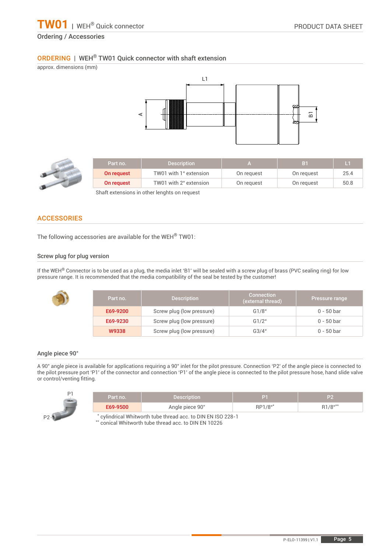# ORDERING | WEH® TW01 Quick connector with shaft extension

approx. dimensions (mm) L1 A $\overline{\mathbf{B}}$ 



| Part no.   | <b>Description</b>     |            | B1         | L    |
|------------|------------------------|------------|------------|------|
| On request | TW01 with 1" extension | On request | On request | 25.4 |
| On request | TW01 with 2" extension | On request | On request | 50.8 |

Shaft extensions in other lenghts on request

# **ACCESSORIES**

The following accessories are available for the WEH® TW01:

#### Screw plug for plug version

If the WEH<sup>®</sup> Connector is to be used as a plug, the media inlet 'B1' will be sealed with a screw plug of brass (PVC sealing ring) for low pressure range. It is recommended that the media compatibility of the seal be tested by the customer!

| Part no. | <b>Description</b>        | <b>Connection</b><br>(external thread) | Pressure range |
|----------|---------------------------|----------------------------------------|----------------|
| E69-9200 | Screw plug (low pressure) | G1/8"                                  | $0 - 50$ bar   |
| E69-9230 | Screw plug (low pressure) | G1/2"                                  | 0 - 50 bar     |
| W9338    | Screw plug (low pressure) | G3/4"                                  | $0 - 50$ bar   |

### Angle piece 90°

A 90° angle piece is available for applications requiring a 90° inlet for the pilot pressure. Connection 'P2' of the angle piece is connected to the pilot pressure port 'P1' of the connector and connection 'P1' of the angle piece is connected to the pilot pressure hose, hand slide valve or control/venting fitting.

| P1<br>- | Part no.                                                   | <b>Description</b> |         | P2      |  |
|---------|------------------------------------------------------------|--------------------|---------|---------|--|
|         | E69-9500                                                   | Angle piece 90°    | RP1/8"* | R1/8"** |  |
| $P2 -$  | cylindrical Whitworth tube thread acc. to DIN EN ISO 228-1 |                    |         |         |  |

cylindrical Whitworth tube thread acc. to DIN EN ISO

\*\* conical Whitworth tube thread acc. to DIN EN 10226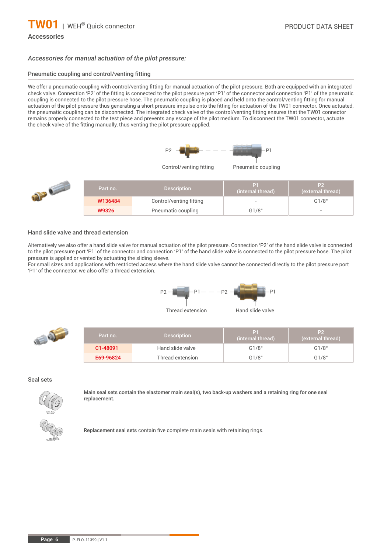#### Accessories

#### *Accessories for manual actuation of the pilot pressure:*

#### Pneumatic coupling and control/venting fitting

We offer a pneumatic coupling with control/venting fitting for manual actuation of the pilot pressure. Both are equipped with an integrated check valve. Connection 'P2' of the fitting is connected to the pilot pressure port 'P1' of the connector and connection 'P1' of the pneumatic coupling is connected to the pilot pressure hose. The pneumatic coupling is placed and held onto the control/venting fitting for manual actuation of the pilot pressure thus generating a short pressure impulse onto the fitting for actuation of the TW01 connector. Once actuated, the pneumatic coupling can be disconnected. The integrated check valve of the control/venting fitting ensures that the TW01 connector remains properly connected to the test piece and prevents any escape of the pilot medium. To disconnect the TW01 connector, actuate the check valve of the fitting manually, thus venting the pilot pressure applied.



Control/venting fitting Pneumatic coupling



|  | Part no. | <b>Description</b>      | (internal thread) | \P2\<br>(external thread) |
|--|----------|-------------------------|-------------------|---------------------------|
|  | W136484  | Control/venting fitting |                   | G1/8"                     |
|  | W9326    | Pneumatic coupling      | G1/8"             |                           |

#### Hand slide valve and thread extension

Alternatively we also offer a hand slide valve for manual actuation of the pilot pressure. Connection 'P2' of the hand slide valve is connected to the pilot pressure port 'P1' of the connector and connection 'P1' of the hand slide valve is connected to the pilot pressure hose. The pilot pressure is applied or vented by actuating the sliding sleeve.

For small sizes and applications with restricted access where the hand slide valve cannot be connected directly to the pilot pressure port 'P1' of the connector, we also offer a thread extension.



| Part no. | <b>Description</b> | P1<br>(internal thread) | P2<br>(external thread) |
|----------|--------------------|-------------------------|-------------------------|
| C1-48091 | Hand slide valve   | G1/8"                   | G1/8"                   |

E69-96824 Thread extension G1/8" G1/8"

Seal sets

 $\mathcal{Q} = \mathcal{Q}$ 



Main seal sets contain the elastomer main seal(s), two back-up washers and a retaining ring for one seal replacement.



Replacement seal sets contain five complete main seals with retaining rings.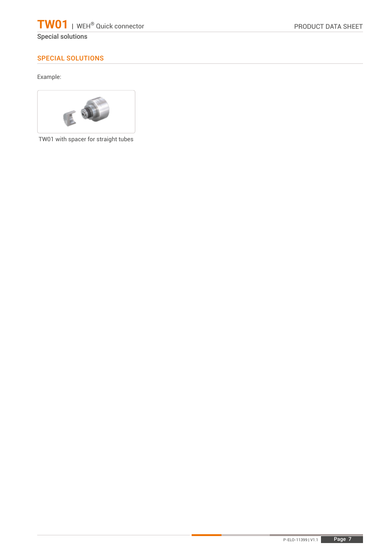Special solutions

# SPECIAL SOLUTIONS

Example:



TW01 with spacer for straight tubes